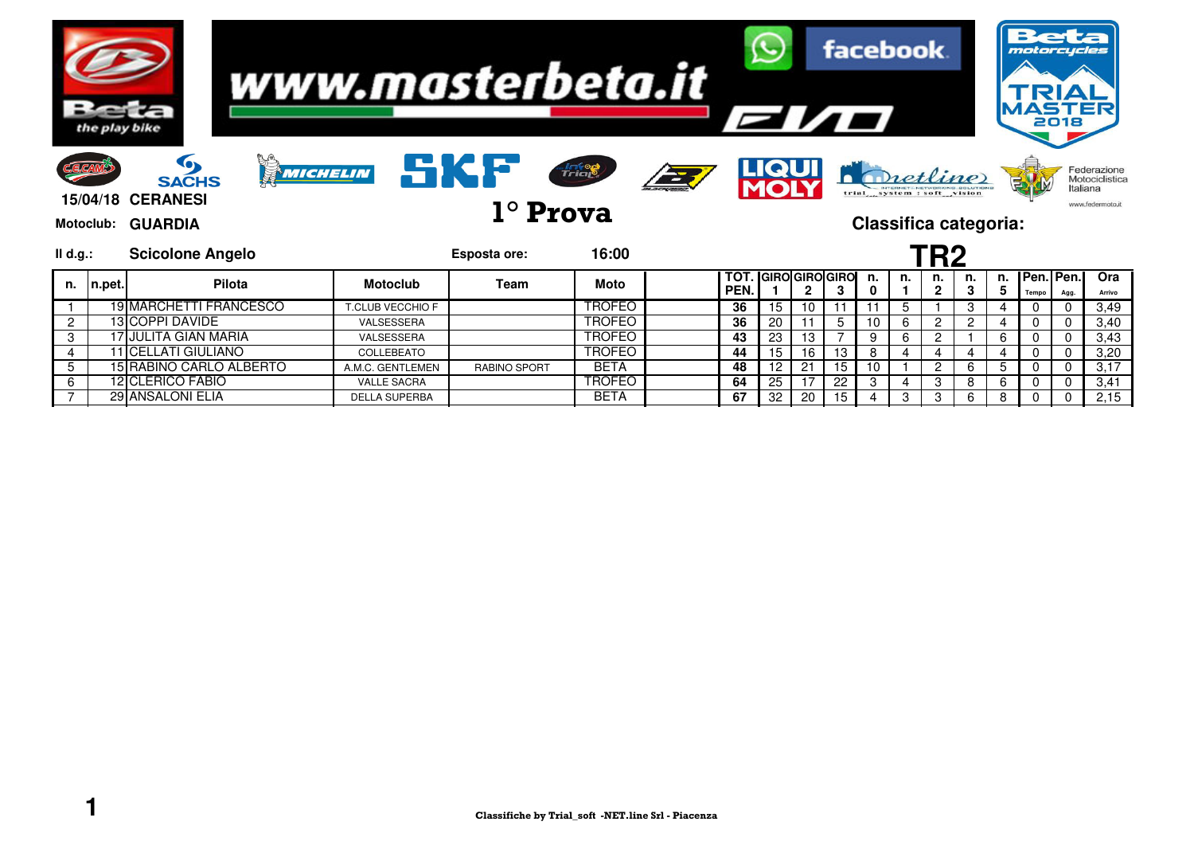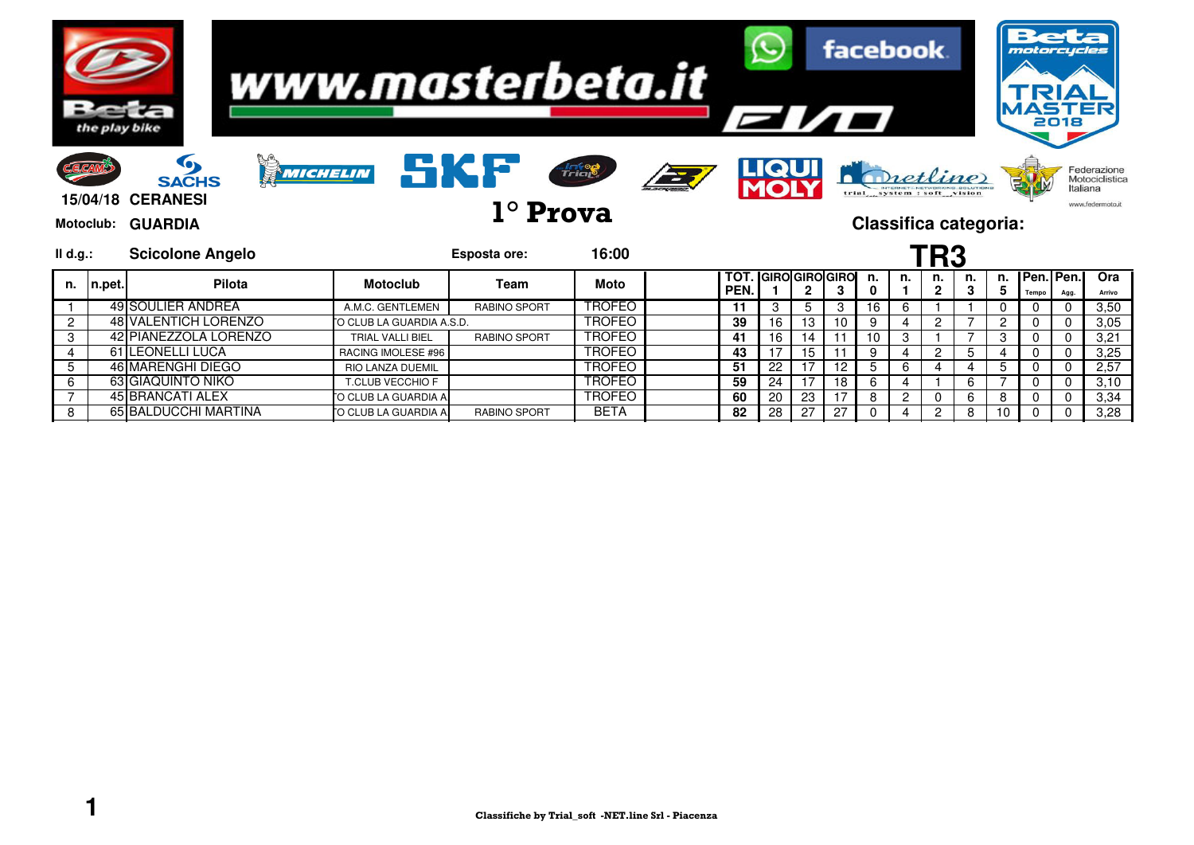

8 65 BALDUCCHI MARTINA MOTO CLUB LA GUARDIA A. RABINO SPORT BETA **82** 28 27 27 0 4 2 8 10 0 0 3,28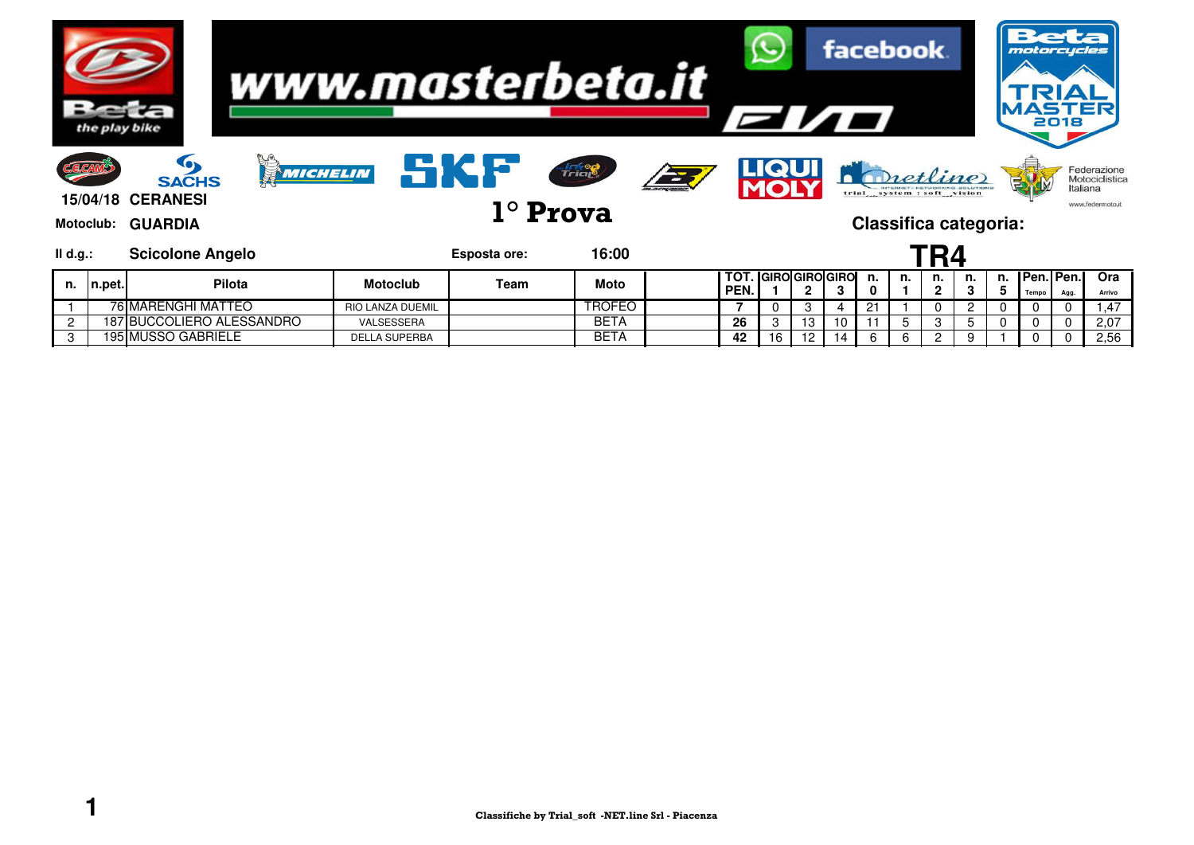|               | the play bike |                                                                           | www.masterbeta.it       |                 |               |            | <b>EI/O</b> |       |                              |    |         | facebook.                                                              |                    |    |    | motorcycles              | 2018     |                                                   |
|---------------|---------------|---------------------------------------------------------------------------|-------------------------|-----------------|---------------|------------|-------------|-------|------------------------------|----|---------|------------------------------------------------------------------------|--------------------|----|----|--------------------------|----------|---------------------------------------------------|
| CECAM         |               | MICHELIN<br><b>SACHS</b><br><b>15/04/18 CERANESI</b><br>Motoclub: GUARDIA | <b>SKP</b>              | $1^\circ$ Prova | <b>Trial</b>  | <b>EXT</b> |             | LIQUI |                              |    |         | Dietline<br>trial system : soft vision<br><b>Classifica categoria:</b> |                    |    |    |                          | Italiana | Federazione<br>Motociclistica<br>www.federmoto.it |
| II d.g.:      |               | <b>Scicolone Angelo</b>                                                   |                         | Esposta ore:    | 16:00         |            |             |       |                              |    |         |                                                                        | TR4                |    |    |                          |          |                                                   |
| n.            | n.pet.        | <b>Pilota</b>                                                             | <b>Motoclub</b>         | Team            | Moto          |            | тот<br>PEN. |       | <b>I</b> GIROIGIROIGIRO<br>2 | 3  | n.<br>0 | n.                                                                     | n.<br>$\mathbf{2}$ | n. | n. | l Pen. I Pen. I<br>Tempo | Agg.     | Ora<br>Arrivo                                     |
|               |               | 76 MARENGHI MATTEO                                                        | <b>RIO LANZA DUEMIL</b> |                 | <b>TROFEO</b> |            |             |       | 3                            | 4  | 21      |                                                                        | 0                  | 2  |    |                          |          | ,47                                               |
| $\mathcal{P}$ |               | 187 BUCCOLIERO ALESSANDRO                                                 | VALSESSERA              |                 | <b>BETA</b>   |            | 26          | 3     | 13                           | 10 |         | 5                                                                      | 3                  | 5  |    |                          |          | 2,07                                              |
| 3             |               | <b>195 MUSSO GABRIELE</b>                                                 | <b>DELLA SUPERBA</b>    |                 | <b>BETA</b>   |            | 42          | 16    | 12                           | 14 | 6       | 6                                                                      | $\overline{2}$     |    |    |                          |          | 2,56                                              |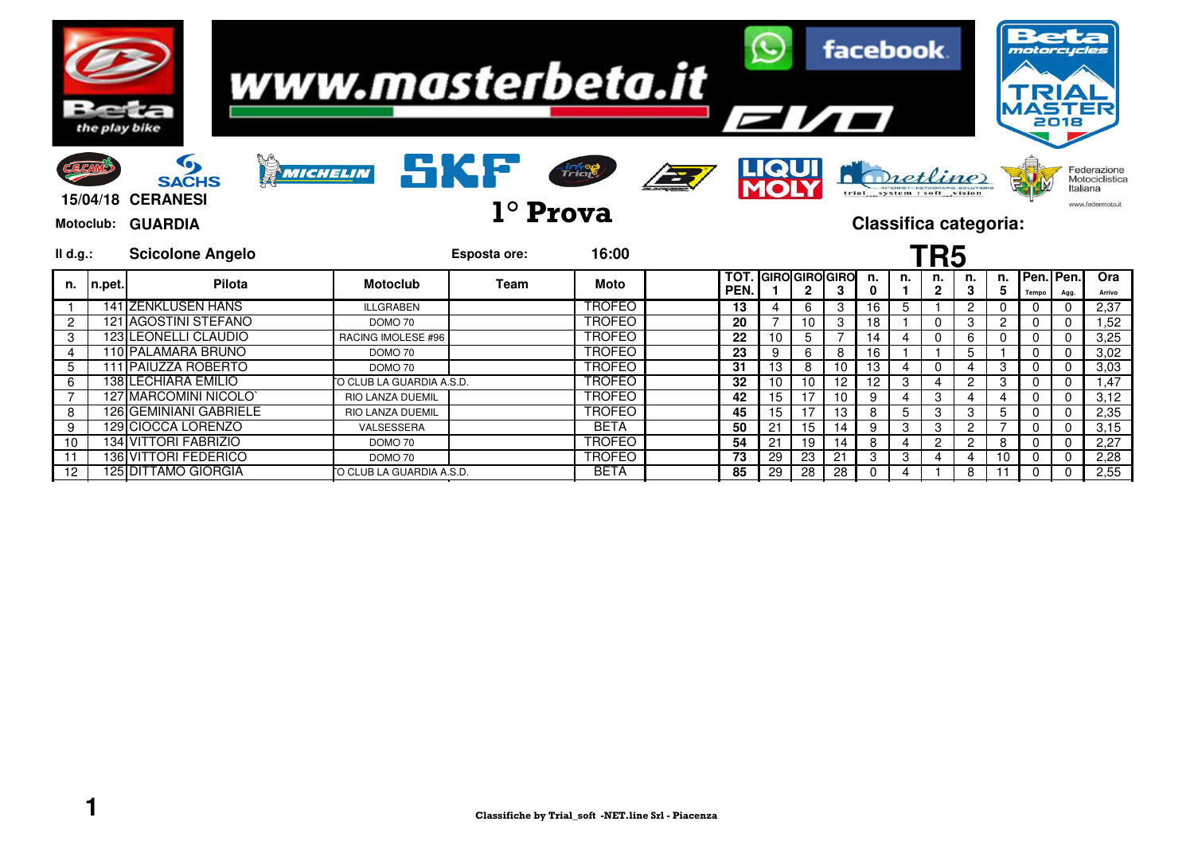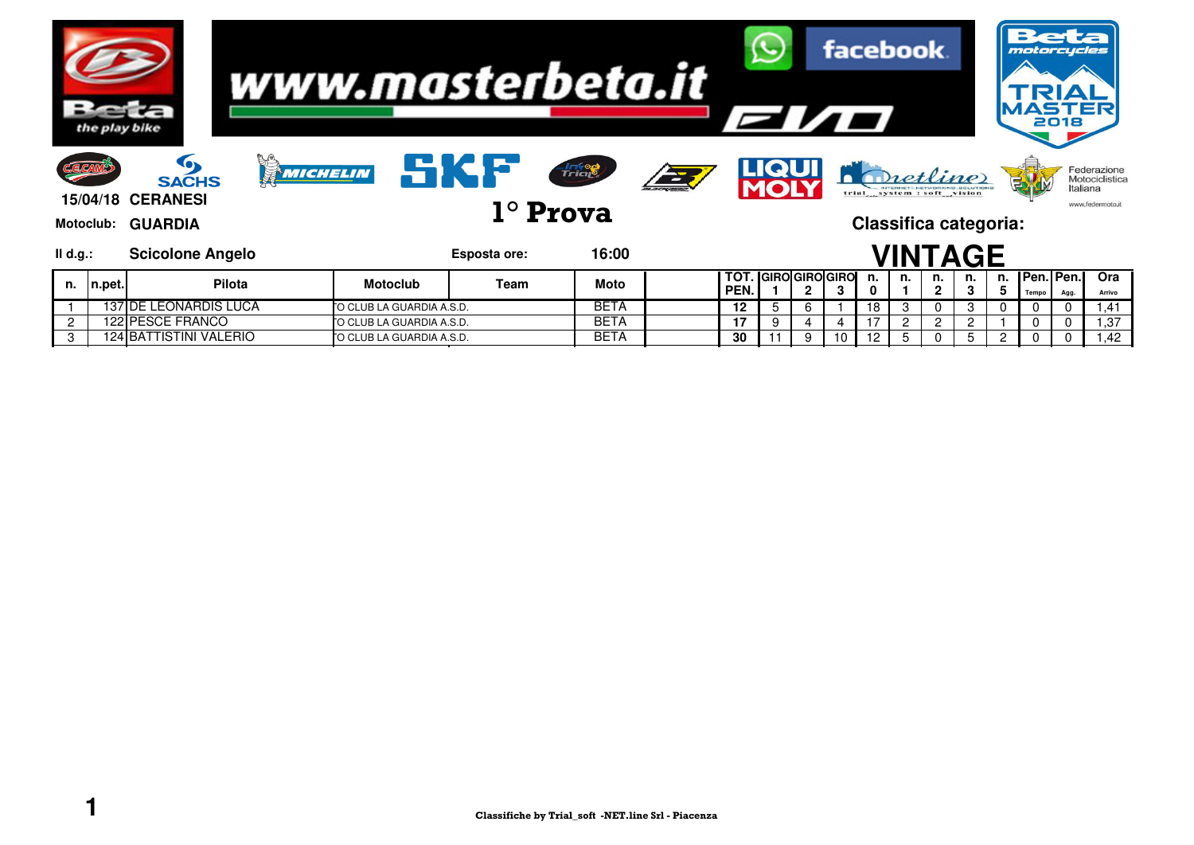|                | the play bike |                                                                                | www.masterbeta.it        |              |                          |            | <b>EI/O</b> |                     |              |    |         | facebook.                         |         |         |         | motorcycles<br>2018  |          |                                                   |
|----------------|---------------|--------------------------------------------------------------------------------|--------------------------|--------------|--------------------------|------------|-------------|---------------------|--------------|----|---------|-----------------------------------|---------|---------|---------|----------------------|----------|---------------------------------------------------|
| <b>C.E.CAM</b> |               | O<br>MICHELIN<br><b>SACHS</b><br><b>15/04/18 CERANESI</b><br>Motoclub: GUARDIA |                          | SKF          | Trial<br>$1^\circ$ Prova | <b>EXT</b> |             | LIQUI               |              |    |         | Chetline<br>Classifica categoria: |         |         |         |                      | Italiana | Federazione<br>Motociclistica<br>www.federmoto.it |
| II d.g.:       |               | <b>Scicolone Angelo</b>                                                        |                          | Esposta ore: | 16:00                    |            |             |                     |              |    |         | <b>VINTAGE</b>                    |         |         |         |                      |          |                                                   |
| n.             | In.pet.       | <b>Pilota</b>                                                                  | <b>Motoclub</b>          | Team         | <b>Moto</b>              |            | тот<br>PEN. | <b>GIROGIROGIRO</b> | $\mathbf{2}$ | 3  | n.<br>0 | n.                                | n.<br>2 | n.<br>3 | n.<br>5 | Pen.   Pen.<br>Tempo | Agg.     | Ora<br>Arrivo                                     |
|                |               | <b>137 DE LEONARDIS LUCA</b>                                                   | O CLUB LA GUARDIA A.S.D. |              | <b>BETA</b>              |            | 12          | 5                   | 6            |    | 18      | 3                                 | 0       | 3       |         |                      | 0        | .41                                               |
|                |               | <b>122 PESCE FRANCO</b>                                                        | O CLUB LA GUARDIA A.S.D. |              | BETA                     |            | 17          | 9                   |              |    |         |                                   | 2       | 2       |         |                      |          | 37                                                |
|                |               | <b>124 BATTISTINI VALERIO</b>                                                  | O CLUB LA GUARDIA A.S.D. |              | BETA                     |            | 30          |                     | 9            | 10 |         |                                   |         | 5       |         |                      |          | .42                                               |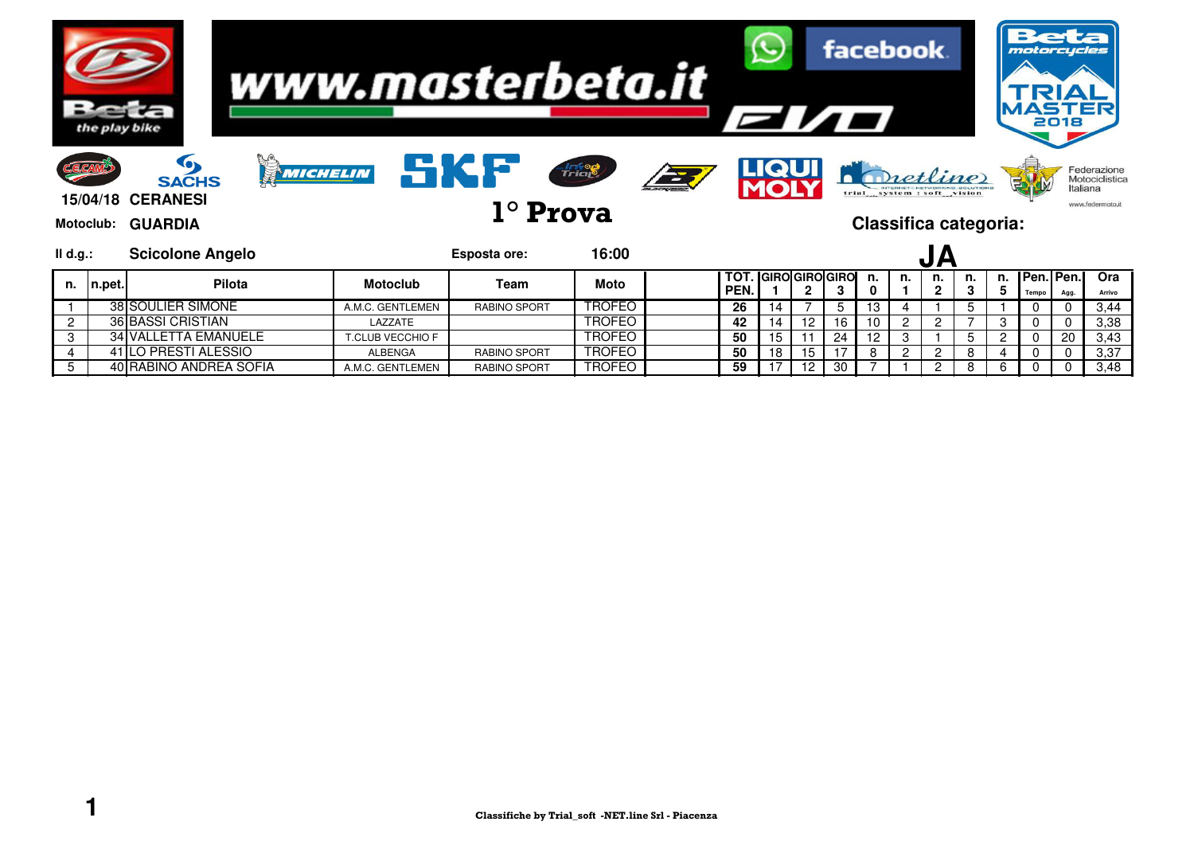|                | the play bike |                                                                             |                  | www.masterbeta.it      |               |               | EI/O        |                       |    |    | facebook.                                                              |               |                      |         |         | motorcycles               | 2018     |                                                   |
|----------------|---------------|-----------------------------------------------------------------------------|------------------|------------------------|---------------|---------------|-------------|-----------------------|----|----|------------------------------------------------------------------------|---------------|----------------------|---------|---------|---------------------------|----------|---------------------------------------------------|
| Motoclub:      |               | O<br>MICHELIN<br><b>SACHS</b><br><b>15/04/18 CERANESI</b><br><b>GUARDIA</b> |                  | SKF<br>$1^\circ$ Prova | Trial         | $\frac{1}{2}$ |             | <u>LIQUI</u>          |    |    | <b>Pretline</b><br>trial system : soft vision<br>Classifica categoria: |               |                      |         |         |                           | Italiana | Federazione<br>Motociclistica<br>www.federmoto.it |
| $II$ d.g.:     |               | <b>Scicolone Angelo</b>                                                     |                  | Esposta ore:           | 16:00         |               |             |                       |    |    |                                                                        |               | JΑ                   |         |         |                           |          |                                                   |
| n.             | n.pet.        | <b>Pilota</b>                                                               | <b>Motoclub</b>  | Team                   | <b>Moto</b>   |               | TO1<br>PEN. | <b>GIRO GIRO GIRO</b> | 2  | 3  | n.<br>0                                                                | n.            | n.<br>$\overline{2}$ | n.<br>3 | n.<br>5 | <b>Pen.IPen.</b><br>Tempo | Agg.     | Ora<br>Arrivo                                     |
|                |               | 38 SOULIER SIMONE                                                           | A.M.C. GENTLEMEN | <b>RABINO SPORT</b>    | TROFEO        |               | 26          | 14                    |    | 5  | 13                                                                     |               |                      |         |         |                           |          | 3,44                                              |
| $\overline{2}$ |               | <b>36 BASSI CRISTIAN</b>                                                    | LAZZATE          |                        | <b>TROFEO</b> |               | 42          | 14                    | 12 | 16 | 10                                                                     | 2             | $\overline{c}$       |         | З       |                           |          | 3,38                                              |
| 3              |               | <b>34 VALLETTA EMANUELE</b>                                                 | T.CLUB VECCHIO F |                        | TROFEO        |               | 50          | 15                    |    | 24 | 12                                                                     | 3             |                      |         |         |                           | 20       | 3,43                                              |
|                |               | 41 LO PRESTI ALESSIO                                                        | <b>ALBENGA</b>   | <b>RABINO SPORT</b>    | <b>TROFEO</b> |               | 50          | 18                    | 15 | 17 | 8                                                                      | $\mathcal{P}$ | 2                    | 8       |         |                           |          | 3,37                                              |
| 5              |               | 40 RABINO ANDREA SOFIA                                                      | A.M.C. GENTLEMEN | <b>RABINO SPORT</b>    | <b>TROFEO</b> |               | 59          | 17                    | 12 | 30 |                                                                        |               | 2                    | 8       | 6       |                           |          | 3,48                                              |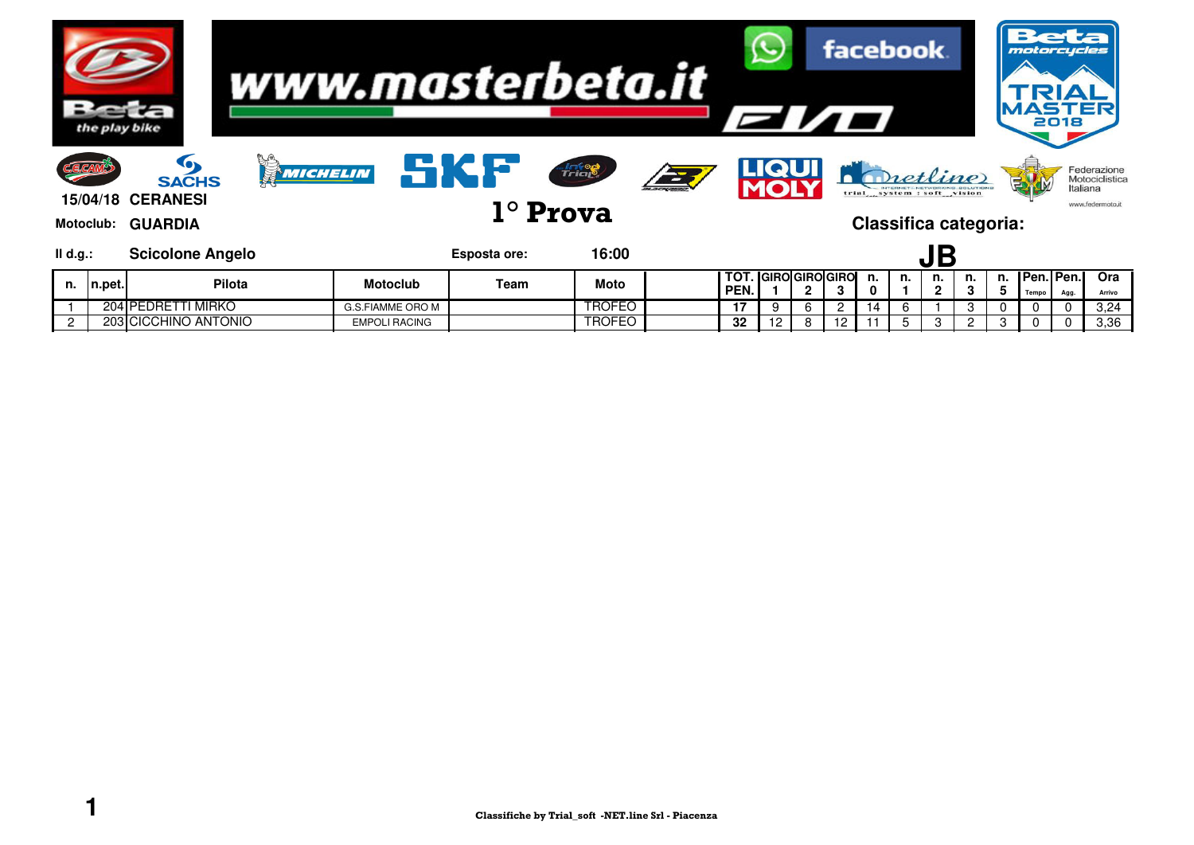|          | the play bike    |                                                                 | www.masterbeta.it |                      |                     |                                 |           | <b>EI/O</b> |              |   | facebook.                  |         |                                                                        |                      |    |         | motorcycles<br><b>ASTER</b> | 2018     |                                                   |
|----------|------------------|-----------------------------------------------------------------|-------------------|----------------------|---------------------|---------------------------------|-----------|-------------|--------------|---|----------------------------|---------|------------------------------------------------------------------------|----------------------|----|---------|-----------------------------|----------|---------------------------------------------------|
| CECAM    | <b>Motoclub:</b> | G<br><b>SACHS</b><br><b>15/04/18 CERANESI</b><br><b>GUARDIA</b> | MICHELIN          |                      | SKF                 | <b>Anteg</b><br>$1^\circ$ Prova | i de la p |             | <u>LIQUI</u> |   |                            |         | Pretline<br>trial system : soft vision<br><b>Classifica categoria:</b> |                      |    |         |                             | Italiana | Federazione<br>Motociclistica<br>www.federmoto.it |
| II d.g.: |                  | <b>Scicolone Angelo</b>                                         |                   |                      | <b>Esposta ore:</b> | 16:00                           |           |             |              |   |                            |         |                                                                        |                      |    |         |                             |          |                                                   |
| n.       | n.pet.           | Pilota                                                          |                   | <b>Motoclub</b>      | Team                | <b>Moto</b>                     |           | TOT<br>PEN. |              | 2 | <b>GIROIGIROIGIRO</b><br>3 | n.<br>0 | n.                                                                     | n.<br>$\overline{2}$ | n. | n.<br>5 | <b>Pen. Pen.</b><br>Tempo   | Agg.     | Ora<br>Arrivo                                     |
|          |                  | 204 PEDRETTI MIRKO                                              |                   | G.S.FIAMME ORO M     |                     | <b>TROFEO</b>                   |           | 17          | 9            | 6 |                            | 14      | 6                                                                      |                      | 3  |         |                             | 0        | 3,24                                              |
|          |                  | 203 CICCHINO ANTONIO                                            |                   | <b>EMPOLI RACING</b> |                     | TROFEO                          |           | 32          |              |   |                            |         |                                                                        |                      |    |         |                             |          | 3,36                                              |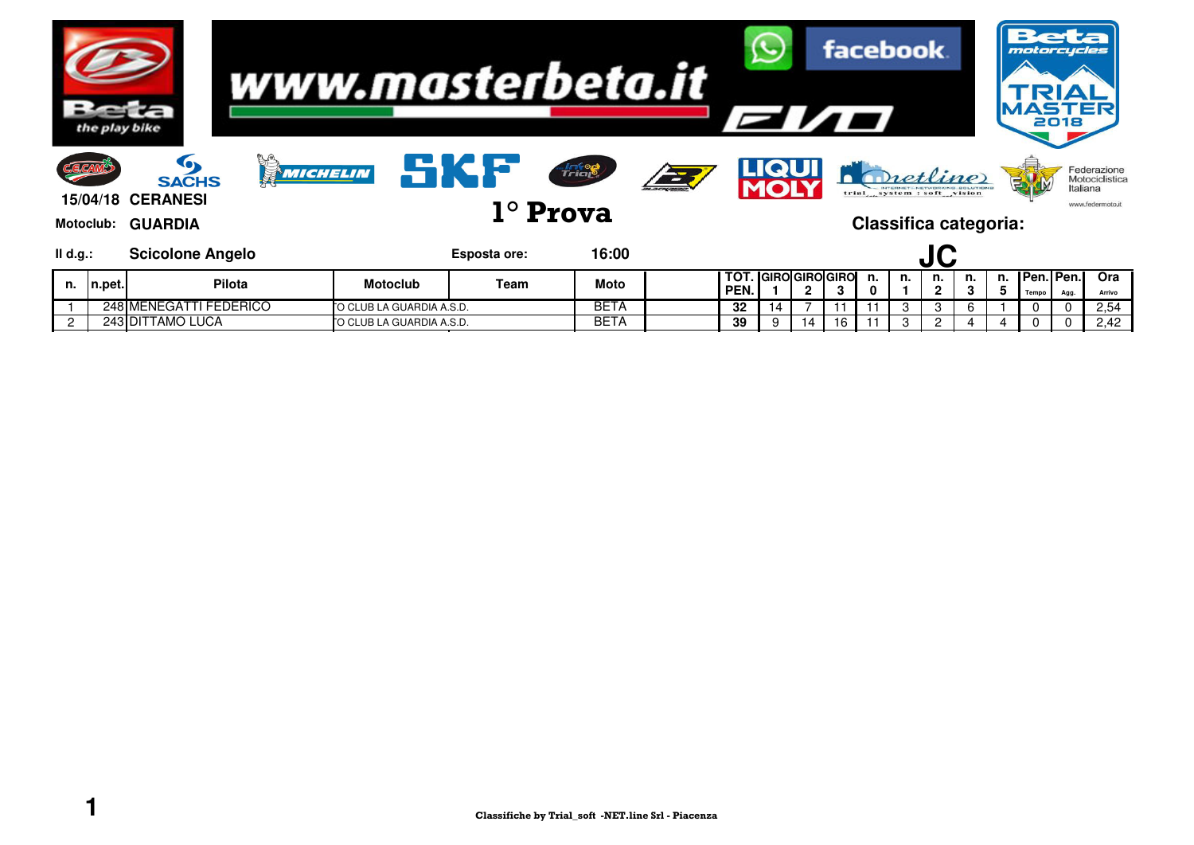|          | the play bike    |                                                                 | www.masterbeta.it        |                     |                                               |      | <b>EI/O</b> |              |    | facebook.                  |         |                                                                        |                    |    |         | motorcycles<br><b>ASTER</b><br>2018 |          |                                                   |
|----------|------------------|-----------------------------------------------------------------|--------------------------|---------------------|-----------------------------------------------|------|-------------|--------------|----|----------------------------|---------|------------------------------------------------------------------------|--------------------|----|---------|-------------------------------------|----------|---------------------------------------------------|
| CECAM    | <b>Motoclub:</b> | G<br><b>SACHS</b><br><b>15/04/18 CERANESI</b><br><b>GUARDIA</b> | MICHELIN                 | <u>Like</u>         | <b><i><u>Frigg</u></i></b><br>$1^\circ$ Prova | FE 1 |             | <u>LIQUI</u> |    |                            |         | Pretline<br>trial system : soft vision<br><b>Classifica categoria:</b> |                    |    |         |                                     | Italiana | Federazione<br>Motociclistica<br>www.federmoto.it |
| II d.g.: |                  | <b>Scicolone Angelo</b>                                         |                          | <b>Esposta ore:</b> | 16:00                                         |      |             |              |    |                            |         |                                                                        | JC                 |    |         |                                     |          |                                                   |
| n.       | n.pet.           | Pilota                                                          | <b>Motoclub</b>          | Team                | <b>Moto</b>                                   |      | TOT<br>PEN. |              | 2  | <b>GIROIGIROIGIRO</b><br>3 | n.<br>0 | n.                                                                     | n.<br>$\mathbf{2}$ | n. | n.<br>5 | <b>I</b> Pen.   Pen.  <br>Tempo     | Agg.     | Ora<br>Arrivo                                     |
|          |                  | 248 MENEGATTI FEDERICO                                          | O CLUB LA GUARDIA A.S.D. |                     | <b>BETA</b>                                   |      | 32          | 14           |    |                            |         | 3                                                                      | 3                  | 6  |         |                                     | 0        | 2,54                                              |
|          |                  | 243 DITTAMO LUCA                                                | O CLUB LA GUARDIA A.S.D. |                     | <b>BETA</b>                                   |      | 39          |              | 14 | 16                         |         |                                                                        |                    |    |         |                                     |          | 2,42                                              |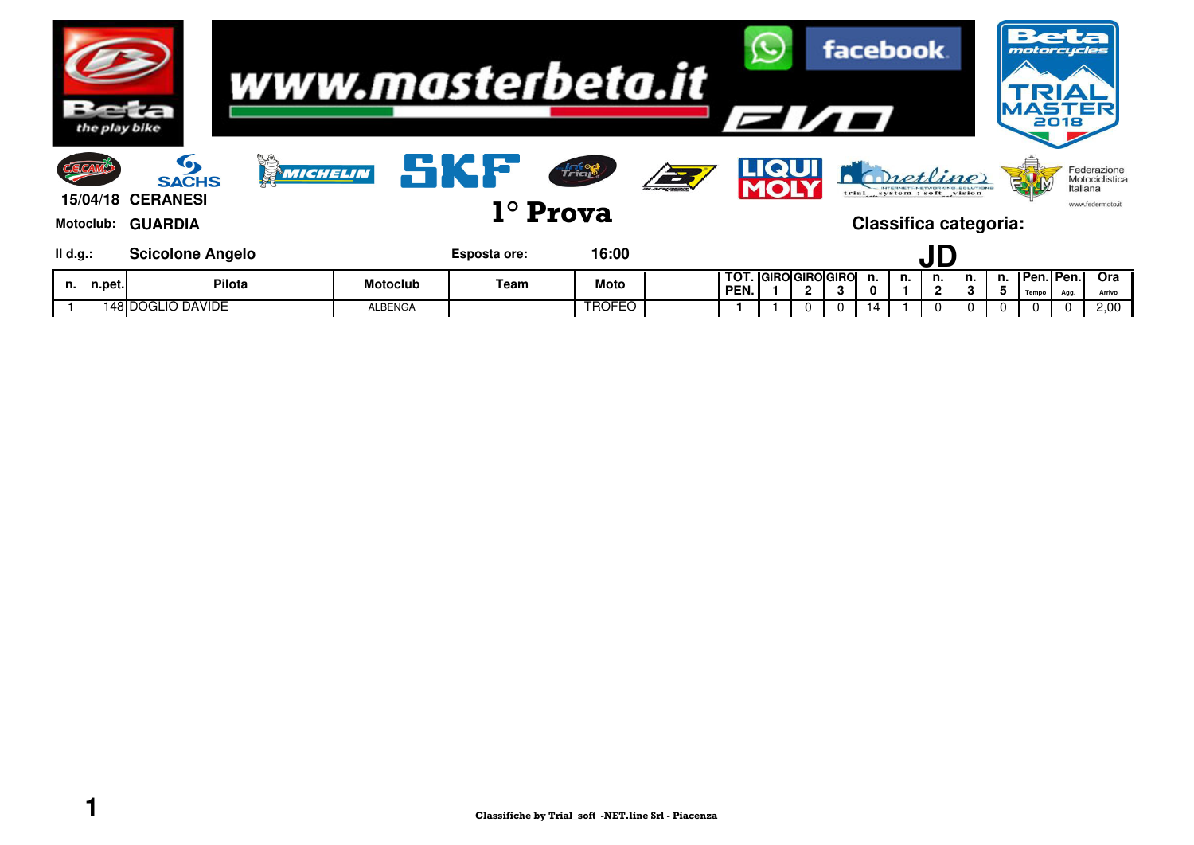|            | the play bike        |                                                                         |          | www.masterbeta.it |              |                                  |                | <b>EI/O</b>       |                       |              | facebook. |    |    |                                                                 |    | motorcycles             | e a<br>2018 |                                                   |
|------------|----------------------|-------------------------------------------------------------------------|----------|-------------------|--------------|----------------------------------|----------------|-------------------|-----------------------|--------------|-----------|----|----|-----------------------------------------------------------------|----|-------------------------|-------------|---------------------------------------------------|
| CCAM       | Motoclub:            | $\bullet$<br><b>SACHS</b><br><b>15/04/18 CERANESI</b><br><b>GUARDIA</b> | MICHELIN |                   | SKF          | <b>Antego</b><br>$1^\circ$ Prova | $\overline{2}$ |                   | <b>LIQUI</b>          |              |           |    |    | Dietline<br>trial system : soft vision<br>Classifica categoria: |    |                         | Italiana    | Federazione<br>Motociclistica<br>www.federmoto.it |
| $II$ d.g.: |                      | <b>Scicolone Angelo</b>                                                 |          |                   | Esposta ore: | 16:00                            |                |                   |                       |              |           |    |    | JD                                                              |    |                         |             |                                                   |
| n.         | ∣n.pet. <sub>i</sub> | <b>Pilota</b>                                                           |          | <b>Motoclub</b>   | Team         | Moto                             |                | тот<br><b>PEN</b> | <b>GIROIGIROIGIRO</b> | $\mathbf{2}$ |           | n. | n. | n.<br>2                                                         | n. | n. IPen.IPen.I<br>Tempo | Agg.        | Ora<br>Arrivo                                     |
|            |                      | 148 DOGLIO DAVIDE                                                       |          | <b>ALBENGA</b>    |              | <b>TROFEO</b>                    |                |                   |                       |              |           |    |    |                                                                 |    |                         |             | 2,00                                              |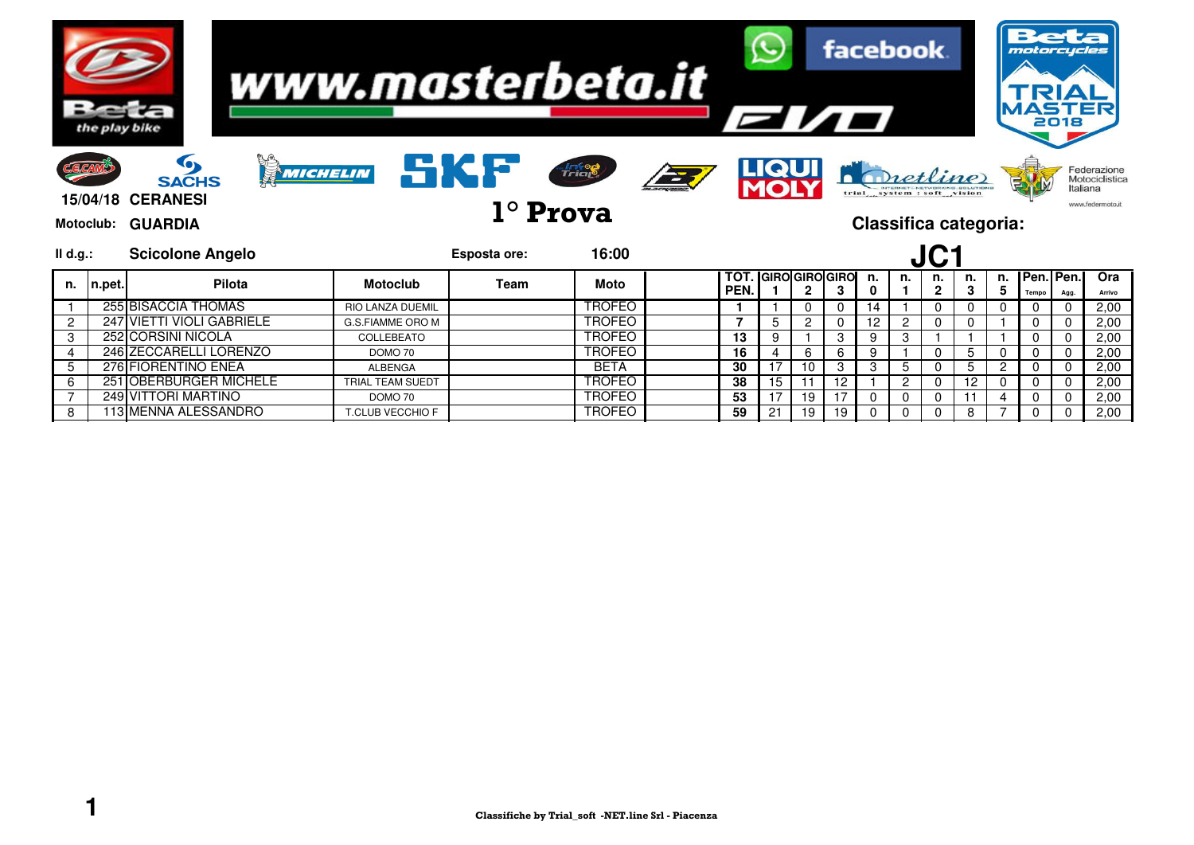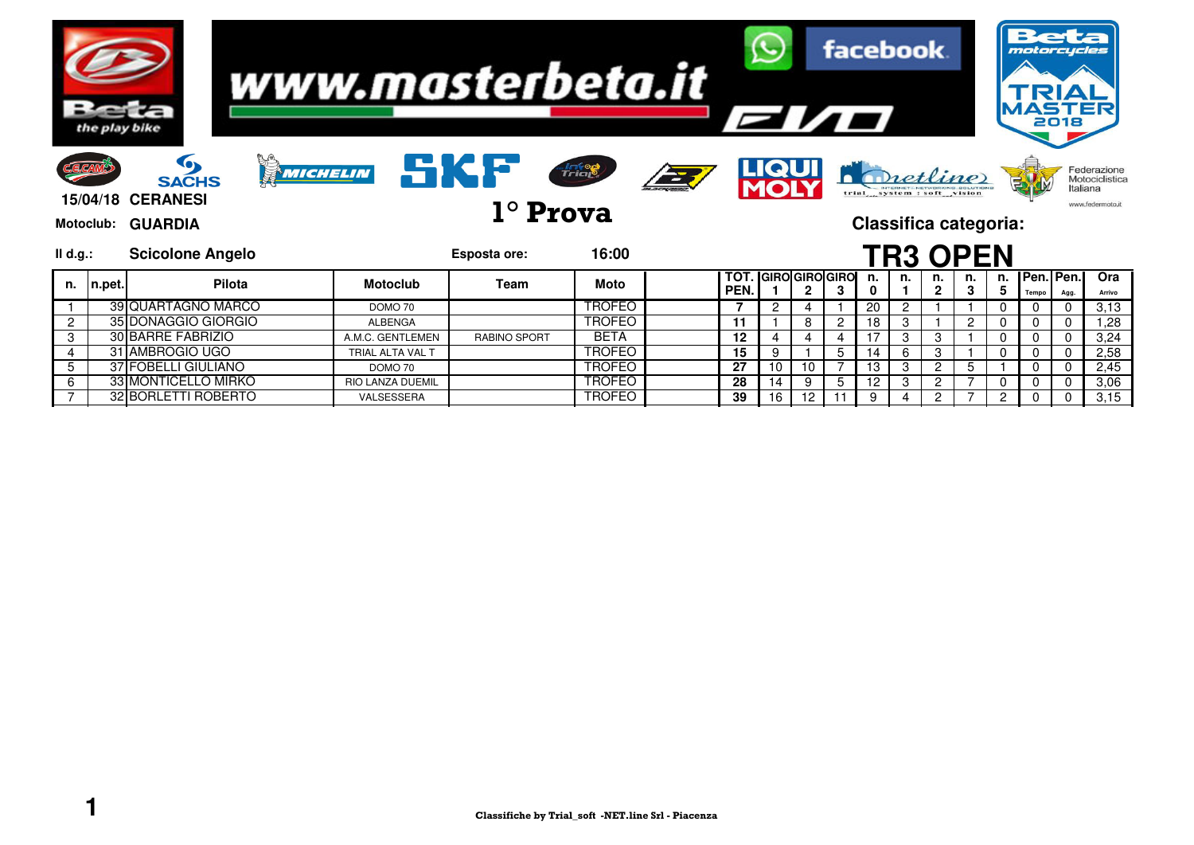|          |                           | the play bike                                                                        |                                    | www.masterbeta.it      |                                |            |             |              | <b>Elio</b>               |                | <b>facebook</b>                                            |        |                     |                |          | motorcycles        | <b>ASTER</b><br>2018 |                                                   |
|----------|---------------------------|--------------------------------------------------------------------------------------|------------------------------------|------------------------|--------------------------------|------------|-------------|--------------|---------------------------|----------------|------------------------------------------------------------|--------|---------------------|----------------|----------|--------------------|----------------------|---------------------------------------------------|
|          | <b>E.CAM</b><br>Motoclub: | <b>Tex</b><br>MICHELIN<br><b>SACHS</b><br><b>15/04/18 CERANESI</b><br><b>GUARDIA</b> |                                    | SKF<br>$1^\circ$ Prova | <b>Anton</b>                   | <b>EXT</b> |             | <b>LIQUI</b> |                           |                | trial system : soft vision<br><b>Classifica categoria:</b> |        | Dretline            |                |          |                    | Italiana             | Federazione<br>Motociclistica<br>www.federmoto.it |
| II d.g.: |                           | <b>Scicolone Angelo</b>                                                              |                                    | Esposta ore:           | 16:00                          |            |             |              |                           |                |                                                            |        | <b>TR3 OPEN</b>     |                |          |                    |                      |                                                   |
| n.       | n.pet.                    | Pilota                                                                               | <b>Motoclub</b>                    | Team                   | Moto                           |            | TOT<br>PEN. |              | <b>GIRO</b> GIROGIRO<br>2 | 3              | n.                                                         | n.     | n.<br>$\mathcal{P}$ | n.             | n.<br>5  | Pen. Pen.<br>Tempo | Agg.                 | Ora<br>Arrivo                                     |
|          |                           | 39 QUARTAGNO MARCO                                                                   | DOMO 70                            |                        | <b>TROFEO</b>                  |            |             | 2            | 4                         |                | 20                                                         |        |                     |                | 0        |                    | 0                    | 3,13                                              |
| 2        |                           | 35 DONAGGIO GIORGIO                                                                  | <b>ALBENGA</b>                     |                        | <b>TROFEO</b>                  |            | 11          |              | 8                         | $\overline{c}$ | 18                                                         | 3      |                     | $\overline{c}$ | 0        |                    | 0                    | 1,28                                              |
| 3        |                           | <b>30 BARRE FABRIZIO</b>                                                             | A.M.C. GENTLEMEN                   | <b>RABINO SPORT</b>    | <b>BETA</b>                    |            | 12          |              | 4                         |                |                                                            | 3      | 3                   |                | $\Omega$ |                    | $\Omega$             |                                                   |
| 4        |                           |                                                                                      |                                    |                        |                                |            | 15          | 9            |                           | 5              |                                                            |        |                     |                |          |                    |                      | 3,24                                              |
|          |                           | 31 AMBROGIO UGO                                                                      | TRIAL ALTA VAL T                   |                        | <b>TROFEO</b>                  |            |             |              |                           |                |                                                            |        | 3                   |                | $\Omega$ |                    | 0                    | 2,58                                              |
| 5<br>6   |                           | 37 FOBELLI GIULIANO<br>33 MONTICELLO MIRKO                                           | DOMO 70<br><b>RIO LANZA DUEMIL</b> |                        | <b>TROFEO</b><br><b>TROFEO</b> |            | 27<br>28    | 10<br>14     | 10<br>9                   | 5              | 13<br>-12                                                  | 3<br>3 | 2<br>2              | 5              | $\Omega$ |                    | $\Omega$<br>0        | 2,45<br>3,06                                      |